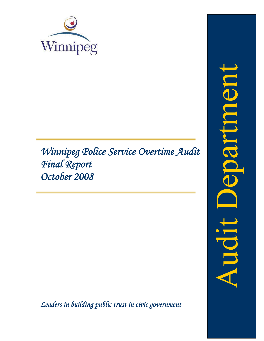

# *Winnipeg Police Service Overtime Audit Final Report October 2008*

*Leaders in building public trust in civic government*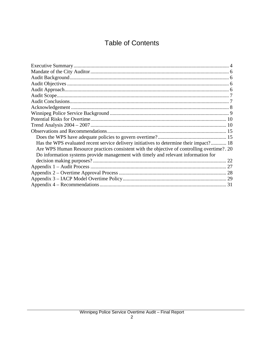# **Table of Contents**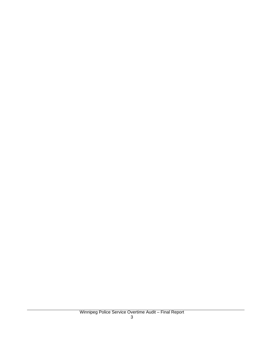### Winnipeg Police Service Overtime Audit – Final Report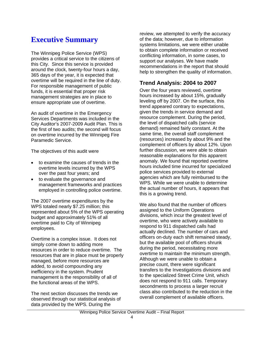## **Executive Summary**

The Winnipeg Police Service (WPS) provides a critical service to the citizens of this City. Since this service is provided around the clock, twenty-four hours a day, 365 days of the year, it is expected that overtime will be required in the line of duty. For responsible management of public funds, it is essential that proper risk management strategies are in place to ensure appropriate use of overtime.

An audit of overtime in the Emergency Services Departments was included in the City Auditor's 2007-2009 Audit Plan. This is the first of two audits; the second will focus on overtime incurred by the Winnipeg Fire Paramedic Service.

The objectives of this audit were

- to examine the causes of trends in the overtime levels incurred by the WPS over the past four years; and
- to evaluate the governance and management frameworks and practices employed in controlling police overtime.

The 2007 overtime expenditures by the WPS totaled nearly \$7.25 million; this represented about 5% of the WPS operating budget and approximately 51% of all overtime paid to City of Winnipeg employees.

Overtime is a complex issue. It does not simply come down to adding more resources in order to reduce overtime. The resources that are in place must be properly managed, before more resources are added, to avoid compounding any inefficiency in the system. Prudent management is the responsibility of all of the functional areas of the WPS.

The next section discusses the trends we observed through our statistical analysis of data provided by the WPS. During the

review, we attempted to verify the accuracy of the data; however, due to information systems limitations, we were either unable to obtain complete information or received conflicting information, in some cases, to support our analyses. We have made recommendations in the report that should help to strengthen the quality of information.

## **Trend Analysis: 2004 to 2007**

Over the four years reviewed, overtime hours increased by about 15%, gradually leveling off by 2007. On the surface, this trend appeared contrary to expectations, given the trends in service demand and resource complement. During the period, the level of dispatched calls (service demand) remained fairly constant. At the same time, the overall staff complement (resources) increased by about 9% and the complement of officers by about 12%. Upon further discussion, we were able to obtain reasonable explanations for this apparent anomaly. We found that reported overtime hours included time incurred for specialized police services provided to external agencies which are fully reimbursed to the WPS. While we were unable to determine the actual number of hours, it appears that this is a growing trend.

We also found that the number of officers assigned to the Uniform Operations divisions, which incur the greatest level of overtime, who were actively available to respond to 911 dispatched calls had actually declined. The number of cars and officers on-duty each shift remained steady, but the available pool of officers shrunk during the period, necessitating more overtime to maintain the minimum strength. Although we were unable to obtain a precise count, there were significant transfers to the Investigations divisions and to the specialized Street Crime Unit, which does not respond to 911 calls. Temporary secondments to process a larger recruit class also contributed to the reduction in the overall complement of available officers.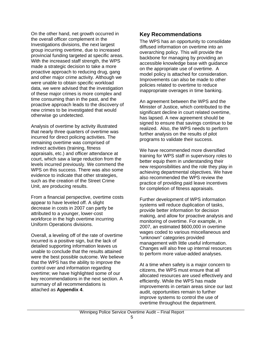On the other hand, net growth occurred in the overall officer complement in the Investigations divisions, the next largest group incurring overtime, due to increased provincial funding targeted at specific areas. With the increased staff strength, the WPS made a strategic decision to take a more proactive approach to reducing drug, gang and other major crime activity. Although we were unable to obtain specific workload data, we were advised that the investigation of these major crimes is more complex and time consuming than in the past, and the proactive approach leads to the discovery of new crimes to be investigated that would otherwise go undetected.

Analysis of overtime by activity illustrated that nearly three quarters of overtime was incurred for direct policing activities. The remaining overtime was comprised of indirect activities (training, fitness appraisals, etc.) and officer attendance at court, which saw a large reduction from the levels incurred previously. We commend the WPS on this success. There was also some evidence to indicate that other strategies, such as the creation of the Street Crime Unit, are producing results.

From a financial perspective, overtime costs appear to have leveled off. A slight decrease in costs in 2007 can partly be attributed to a younger, lower-cost workforce in the high overtime incurring Uniform Operations divisions.

Overall, a leveling off of the rate of overtime incurred is a positive sign, but the lack of detailed supporting information leaves us unable to conclude that the results attained were the best possible outcome. We believe that the WPS has the ability to improve the control over and information regarding overtime; we have highlighted some of our key recommendations in the next section. A summary of all recommendations is attached as **Appendix 4**.

## **Key Recommendations**

The WPS has an opportunity to consolidate diffused information on overtime into an overarching policy. This will provide the backbone for managing by providing an accessible knowledge base with guidance on the appropriate use of overtime. A model policy is attached for consideration. Improvements can also be made to other policies related to overtime to reduce inappropriate overages in time banking.

An agreement between the WPS and the Minister of Justice, which contributed to the significant decline in court related overtime, has lapsed. A new agreement should be signed to ensure that savings continue to be realized. Also, the WPS needs to perform further analysis on the results of pilot programs to validate their success.

We have recommended more diversified training for WPS staff in supervisory roles to better equip them in understanding their new responsibilities and the role they play in achieving departmental objectives. We have also recommended the WPS review the practice of providing paid leave incentives for completion of fitness appraisals.

Further development of WPS information systems will reduce duplication of tasks, provide better information for decision making, and allow for proactive analysis and monitoring of overtime. For example, in 2007, an estimated \$600,000 in overtime wages coded to various miscellaneous and "unknown" categories provided management with little useful information. Changes will also free up internal resources to perform more value-added analyses.

At a time when safety is a major concern to citizens, the WPS must ensure that all allocated resources are used effectively and efficiently. While the WPS has made improvements in certain areas since our last audit, opportunities remain to further improve systems to control the use of overtime throughout the department.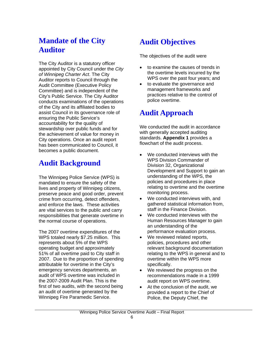# **Mandate of the City Auditor**

The City Auditor is a statutory officer appointed by City Council under the *City of Winnipeg Charter Act*. The City Auditor reports to Council through the Audit Committee (Executive Policy Committee) and is independent of the City's Public Service. The City Auditor conducts examinations of the operations of the City and its affiliated bodies to assist Council in its governance role of ensuring the Public Service's accountability for the quality of stewardship over public funds and for the achievement of value for money in City operations. Once an audit report has been communicated to Council, it becomes a public document.

# **Audit Background**

The Winnipeg Police Service (WPS) is mandated to ensure the safety of the lives and property of Winnipeg citizens, preserve peace and good order, prevent crime from occurring, detect offenders, and enforce the laws. These activities are vital services to the public and carry responsibilities that generate overtime in the normal course of operations.

The 2007 overtime expenditures of the WPS totaled nearly \$7.25 million. This represents about 5% of the WPS operating budget and approximately 51% of all overtime paid to City staff in 2007. Due to the proportion of spending attributable for overtime in the City's emergency services departments, an audit of WPS overtime was included in the 2007-2009 Audit Plan. This is the first of two audits, with the second being an audit of overtime generated by the Winnipeg Fire Paramedic Service.

# **Audit Objectives**

The objectives of the audit were

- to examine the causes of trends in the overtime levels incurred by the WPS over the past four years; and
- to evaluate the governance and management frameworks and practices relative to the control of police overtime.

# **Audit Approach**

We conducted the audit in accordance with generally accepted auditing standards. **Appendix 1** provides a flowchart of the audit process.

- We conducted interviews with the WPS Division Commander of Division 32, Organizational Development and Support to gain an understanding of the WPS, the policies and procedures in place relating to overtime and the overtime monitoring process.
- We conducted interviews with, and gathered statistical information from, staff in the Finance Division.
- We conducted interviews with the Human Resources Manager to gain an understanding of the performance evaluation process.
- We reviewed related reports, policies, procedures and other relevant background documentation relating to the WPS in general and to overtime within the WPS more specifically.
- We reviewed the progress on the recommendations made in a 1999 audit report on WPS overtime.
- At the conclusion of the audit, we provided a report to the Chief of Police, the Deputy Chief, the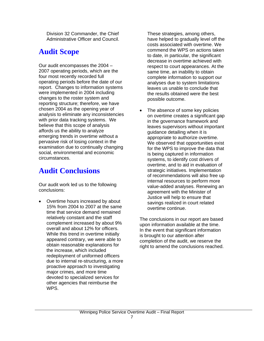Division 32 Commander, the Chief Administrative Officer and Council.

# **Audit Scope**

Our audit encompasses the 2004 – 2007 operating periods, which are the four most recently recorded full operating periods before the date of our report. Changes to information systems were implemented in 2004 including changes to the roster system and reporting structure; therefore, we have chosen 2004 as the opening year of analysis to eliminate any inconsistencies with prior data tracking systems. We believe that this scope of analysis affords us the ability to analyze emerging trends in overtime without a pervasive risk of losing context in the examination due to continually changing social, environmental and economic circumstances.

# **Audit Conclusions**

Our audit work led us to the following conclusions:

• Overtime hours increased by about 15% from 2004 to 2007 at the same time that service demand remained relatively constant and the staff complement increased by about 9% overall and about 12% for officers. While this trend in overtime initially appeared contrary, we were able to obtain reasonable explanations for the increase, which included redeployment of uniformed officers due to internal re-structuring, a more proactive approach to investigating major crimes, and more time devoted to specialized services for other agencies that reimburse the WPS.

These strategies, among others, have helped to gradually level off the costs associated with overtime. We commend the WPS on actions taken to date, in particular, the significant decrease in overtime achieved with respect to court appearances. At the same time, an inability to obtain complete information to support our analyses due to system limitations leaves us unable to conclude that the results obtained were the best possible outcome.

The absence of some key policies on overtime creates a significant gap in the governance framework and leaves supervisors without important guidance detailing when it is appropriate to authorize overtime. We observed that opportunities exist for the WPS to improve the data that is being captured in information systems, to identify cost drivers of overtime, and to aid in evaluation of strategic initiatives. Implementation of recommendations will also free up internal resources to perform more value-added analyses. Renewing an agreement with the Minister of Justice will help to ensure that savings realized in court related overtime continue.

The conclusions in our report are based upon information available at the time. In the event that significant information is brought to our attention after completion of the audit, we reserve the right to amend the conclusions reached.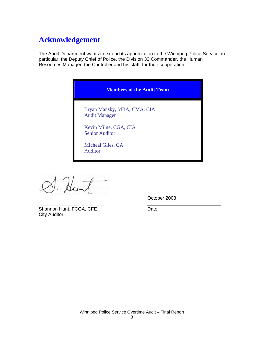# **Acknowledgement**

The Audit Department wants to extend its appreciation to the Winnipeg Police Service, in particular, the Deputy Chief of Police, the Division 32 Commander, the Human Resources Manager, the Controller and his staff, for their cooperation.



J. Hin

October 2008

Shannon Hunt, FCGA, CFE Date City Auditor

\_\_\_\_\_\_\_\_\_\_\_\_\_\_\_\_\_\_\_\_\_\_\_\_\_ *\_\_\_\_\_\_\_\_\_\_\_\_\_\_\_\_\_\_\_\_\_\_\_\_\_\_\_\_*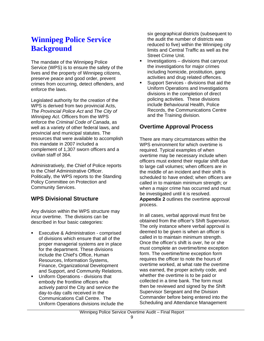# **Winnipeg Police Service Background**

The mandate of the Winnipeg Police Service (WPS) is to ensure the safety of the lives and the property of Winnipeg citizens, preserve peace and good order, prevent crimes from occurring, detect offenders, and enforce the laws.

Legislated authority for the creation of the WPS is derived from two provincial Acts, *The Provincial Police Act* and *The City of Winnipeg Act*. Officers from the WPS enforce the *Criminal Code of Canada*, as well as a variety of other federal laws, and provincial and municipal statutes. The resources that were available to accomplish this mandate in 2007 included a complement of 1,307 sworn officers and a civilian staff of 364.

Administratively, the Chief of Police reports to the Chief Administrative Officer. Politically, the WPS reports to the Standing Policy Committee on Protection and Community Services.

## **WPS Divisional Structure**

Any division within the WPS structure may incur overtime. The divisions can be described in four basic categories:

- Executive & Administration comprised of divisions which ensure that all of the proper managerial systems are in place for the department. These divisions include the Chief's Office, Human Resources, Information Systems, Finance, Organizational Development and Support, and Community Relations.
- Uniform Operations divisions that embody the frontline officers who actively patrol the City and service the day-to-day calls received in the Communications Call Centre. The Uniform Operations divisions include the

six geographical districts (subsequent to the audit the number of districts was reduced to five) within the Winnipeg city limits and Central Traffic as well as the Street Crime Unit.

- $\blacksquare$  Investigations divisions that carryout the investigations for major crimes including homicide, prostitution, gang activities and drug related offences.
- **Support Services divisions that aid the** Uniform Operations and Investigations divisions in the completion of direct policing activities. These divisions include Behavioural Health, Police Records, the Communications Centre and the Training division.

## **Overtime Approval Process**

There are many circumstances within the WPS environment for which overtime is required. Typical examples of when overtime may be necessary include when officers must extend their regular shift due to large call volumes; when officers are in the middle of an incident and their shift is scheduled to have ended; when officers are called in to maintain minimum strength; or when a major crime has occurred and must be investigated until it is resolved. **Appendix 2** outlines the overtime approval process.

In all cases, verbal approval must first be obtained from the officer's Shift Supervisor. The only instance where verbal approval is deemed to be given is when an officer is called in to maintain minimum strength. Once the officer's shift is over, he or she must complete an overtime/time exception form. The overtime/time exception form requires the officer to note the hours of overtime worked, at what rate the overtime was earned, the proper activity code, and whether the overtime is to be paid or collected in a time bank. The form must then be reviewed and signed by the Shift Supervisor Sergeant and the Division Commander before being entered into the Scheduling and Attendance Management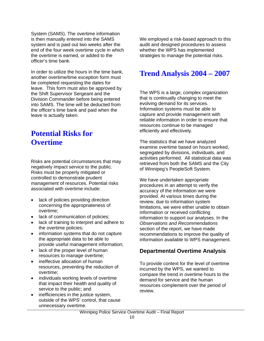System (SAMS). The overtime information is then manually entered into the SAMS system and is paid out two weeks after the end of the four week overtime cycle in which the overtime is earned, or added to the officer's time bank.

In order to utilize the hours in the time bank, another overtime/time exception form must be completed requesting the dates for leave. This form must also be approved by the Shift Supervisor Sergeant and the Division Commander before being entered into SAMS. The time will be deducted from the officer's time bank and paid when the leave is actually taken.

## **Potential Risks for Overtime**

Risks are potential circumstances that may negatively impact service to the public. Risks must be properly mitigated or controlled to demonstrate prudent management of resources. Potential risks associated with overtime include:

- lack of policies providing direction concerning the appropriateness of overtime;
- lack of communication of policies;
- lack of training to interpret and adhere to the overtime policies;
- information systems that do not capture the appropriate data to be able to provide useful management information;
- lack of the proper level of human resources to manage overtime;
- ineffective allocation of human resources, preventing the reduction of overtime;
- individuals working levels of overtime that impact their health and quality of service to the public; and
- inefficiencies in the justice system, outside of the WPS' control, that cause unnecessary overtime.

We employed a risk-based approach to this audit and designed procedures to assess whether the WPS has implemented strategies to manage the potential risks.

# **Trend Analysis 2004 – 2007**

The WPS is a large, complex organization that is continually changing to meet the evolving demand for its services. Information systems must be able to capture and provide management with reliable information in order to ensure that resources continue to be managed efficiently and effectively.

The statistics that we have analyzed examine overtime based on hours worked, segregated by divisions, individuals, and activities performed. All statistical data was retrieved from both the SAMS and the City of Winnipeg's PeopleSoft System.

We have undertaken appropriate procedures in an attempt to verify the accuracy of the information we were provided. At various times during the review, due to information system limitations, we were either unable to obtain information or received conflicting information to support our analyses. In the *Observations and Recommendations*  section of the report, we have made recommendations to improve the quality of information available to WPS management.

## **Departmental Overtime Analysis**

To provide context for the level of overtime incurred by the WPS, we wanted to compare the trend in overtime hours to the demand for service and the human resources complement over the period of review.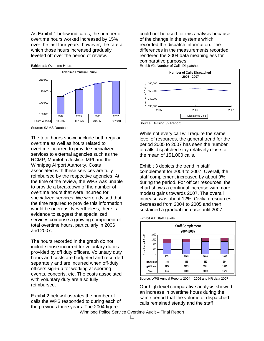As Exhibit 1 below indicates, the number of overtime hours worked increased by 15% over the last four years; however, the rate at which those hours increased gradually leveled off over the period of review.

Exhibit #1: Overtime Hours



Source: SAMS Database

The total hours shown include both regular overtime as well as hours related to overtime incurred to provide specialized services to external agencies such as the RCMP, Manitoba Justice, MPI and the Winnipeg Airport Authority. Costs associated with these services are fully reimbursed by the respective agencies. At the time of the review, the WPS was unable to provide a breakdown of the number of overtime hours that were incurred for specialized services. We were advised that the time required to provide this information would be onerous. Nevertheless, there is evidence to suggest that specialized services comprise a growing component of total overtime hours, particularly in 2006 and 2007.

The hours recorded in the graph do not include those incurred for voluntary duties provided by off duty officers. Voluntary duty hours and costs are budgeted and recorded separately and are incurred when off-duty officers sign-up for working at sporting events, concerts, etc. The costs associated with voluntary duty are also fully reimbursed.

Exhibit 2 below illustrates the number of calls the WPS responded to during each of the previous three years. The 2004 figure

could not be used for this analysis because of the change in the systems which recorded the dispatch information. The differences in the measurements recorded rendered the 2004 data meaningless for comparative purposes. Exhibit #2: Number of Calls Dispatched



Source: Division 32 Report

While not every call will require the same level of resources, the general trend for the period 2005 to 2007 has seen the number of calls dispatched stay relatively close to the mean of 151,000 calls.

Exhibit 3 depicts the trend in staff complement for 2004 to 2007. Overall, the staff complement increased by about 9% during the period. For officer resources, the chart shows a continual increase with more modest gains towards 2007. The overall increase was about 12%. Civilian resources decreased from 2004 to 2005 and then sustained a gradual increase until 2007.





Source: WPS Annual Reports 2004 – 2006 and HR data 2007

Our high level comparative analysis showed an increase in overtime hours during the same period that the volume of dispatched calls remained steady and the staff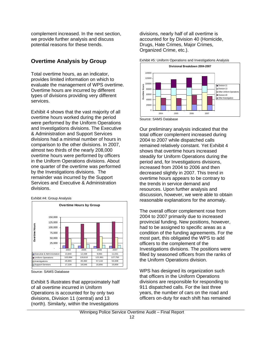complement increased. In the next section, we provide further analysis and discuss potential reasons for these trends.

## **Overtime Analysis by Group**

Total overtime hours, as an indicator, provides limited information on which to evaluate the management of WPS overtime. Overtime hours are incurred by different types of divisions providing very different services.

Exhibit 4 shows that the vast majority of all overtime hours worked during the period were performed by the Uniform Operations and Investigations divisions. The Executive & Administration and Support Services divisions had a minimal number of hours in comparison to the other divisions. In 2007, almost two thirds of the nearly 208,000 overtime hours were performed by officers in the Uniform Operations divisions. About one quarter of the overtime was performed by the Investigations divisions. The remainder was incurred by the Support Services and Executive & Administration divisions.





Source: SAMS Database

Exhibit 5 illustrates that approximately half of all overtime incurred in Uniform Operations is accounted for by only two divisions, Division 11 (central) and 13 (north). Similarly, within the Investigations

divisions, nearly half of all overtime is accounted for by Division 40 (Homicide, Drugs, Hate Crimes, Major Crimes, Organized Crime, etc.).





Source: SAMS Database

Our preliminary analysis indicated that the total officer complement increased during 2004 to 2007 while dispatched calls remained relatively constant. Yet Exhibit 4 shows that overtime hours increased steadily for Uniform Operations during the period and, for Investigations divisions, increased from 2004 to 2006 and then decreased slightly in 2007. This trend in overtime hours appears to be contrary to the trends in service demand and resources. Upon further analysis and discussion, however, we were able to obtain reasonable explanations for the anomaly.

The overall officer complement rose from 2004 to 2007 primarily due to increased provincial funding. New positions, however, had to be assigned to specific areas as a condition of the funding agreements. For the most part, this obligated the WPS to add officers to the complement of the Investigations divisions. The positions were filled by seasoned officers from the ranks of the Uniform Operations division.

WPS has designed its organization such that officers in the Uniform Operations divisions are responsible for responding to 911 dispatched calls. For the last three years, the number of cars on the road and officers on-duty for each shift has remained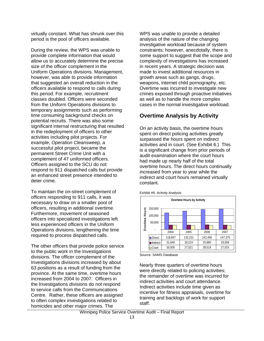virtually constant. What has shrunk over this period is the pool of officers available.

During the review, the WPS was unable to provide complete information that would allow us to accurately determine the precise size of the officer complement in the Uniform Operations divisions. Management, however, was able to provide information that suggested an overall reduction in the officers available to respond to calls during this period. For example, recruitment classes doubled. Officers were seconded from the Uniform Operations divisions to temporary assignments such as performing time consuming background checks on potential recruits. There was also some significant internal restructuring that resulted in the redeployment of officers to other activities including pilot projects. For example, *Operation Cleansweep*, a successful pilot project, became the permanent Street Crime Unit with a complement of 47 uniformed officers. Officers assigned to the SCU do not respond to 911 dispatched calls but provide an enhanced street presence intended to deter crime.

To maintain the on-street complement of officers responding to 911 calls, it was necessary to draw on a smaller pool of officers, resulting in additional overtime. Furthermore, movement of seasoned officers into specialized investigations left less experienced officers in the Uniform Operations divisions, lengthening the time required to process dispatched calls.

The other officers that provide police service to the public work in the Investigations divisions. The officer complement of the Investigations divisions increased by about 63 positions as a result of funding from the province. At the same time, overtime hours increased from 2004 to 2007. Officers in the Investigations divisions do not respond to service calls from the Communications Centre. Rather, these officers are assigned to often complex investigations related to homicides and other major crimes. The

WPS was unable to provide a detailed analysis of the nature of the changing investigative workload because of system constraints; however, anecdotally, there is some support to suggest that the scope and complexity of investigations has increased in recent years. A strategic decision was made to invest additional resources in growth areas such as gangs, drugs, weapons, internet child pornography, etc. Overtime was incurred to investigate new crimes exposed through proactive initiatives as well as to handle the more complex cases in the normal investigative workload.

## **Overtime Analysis by Activity**

On an activity basis, the overtime hours spent on direct policing activities greatly surpassed the hours spent on indirect activities and in court. (See Exhibit 6.) This is a significant change from prior periods of audit examination where the court hours had made up nearly half of the total overtime hours. The direct hours continually increased from year to year while the indirect and court hours remained virtually constant.



Source: SAMS Database

Nearly three quarters of overtime hours were directly related to policing activities; the remainder of overtime was incurred for indirect activities and court attendance. Indirect activities include time given as incentive for fitness appraisals, overtime for training and backlogs of work for support staff.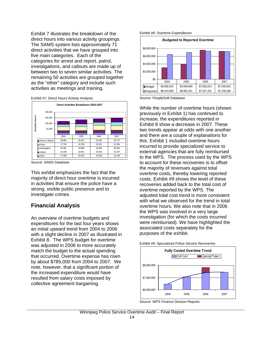Exhibit 7 illustrates the breakdown of the direct hours into various activity groupings. The SAMS system lists approximately 71 direct activities that we have grouped into five main categories. Each of the categories for arrest and report, patrol, investigations, and callouts are made up of between two to seven similar activities. The remaining 50 activities are grouped together as the "other" category and include such activities as meetings and training.





Source: SAMS Database

This exhibit emphasizes the fact that the majority of direct hour overtime is incurred in activities that ensure the police have a strong, visible public presence and to investigate crimes.

## **Financial Analysis**

An overview of overtime budgets and expenditures for the last four years shows an initial upward trend from 2004 to 2006 with a slight decline in 2007 as illustrated in Exhibit 8. The WPS budget for overtime was adjusted in 2006 to more accurately match the budget to the actual spending that occurred. Overtime expense has risen by about \$785,000 from 2004 to 2007. We note, however, that a significant portion of the increased expenditure would have resulted from salary costs imposed by collective agreement bargaining.





Source: PeopleSoft Database

While the number of overtime hours (shown previously in Exhibit 1) has continued to increase, the expenditures reported in Exhibit 8 show a decrease in 2007. These two trends appear at odds with one another and there are a couple of explanations for this. Exhibit 1 included overtime hours incurred to provide specialized service to external agencies that are fully reimbursed to the WPS. The process used by the WPS to account for these recoveries is to offset the majority of revenues against total overtime costs, thereby lowering reported costs. Exhibit #9 shows the level of these recoveries added back to the total cost of overtime reported by the WPS. The adjusted total cost trend is more consistent with what we observed for the trend in total overtime hours. We also note that in 2006 the WPS was involved in a very large investigation (for which the costs incurred were reimbursed). We have highlighted the associated costs separately for the purposes of the exhibit.





Source: WPS Finance Division Reports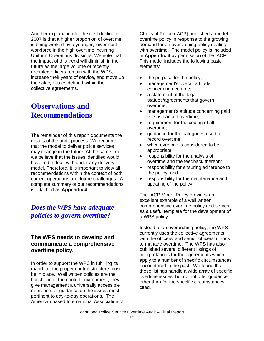Another explanation for the cost decline in 2007 is that a higher proportion of overtime is being worked by a younger, lower-cost workforce in the high overtime incurring Uniform Operations divisions. We note that the impact of this trend will diminish in the future as the large volume of recently recruited officers remain with the WPS, increase their years of service, and move up the salary scales defined within the collective agreements.

## **Observations and Recommendations**

The remainder of this report documents the results of the audit process. We recognize that the model to deliver police services may change in the future. At the same time, we believe that the issues identified would have to be dealt with under any delivery model. Therefore, it is important to view all recommendations within the context of both current operations and future challenges. A complete summary of our recommendations is attached as **Appendix 4**.

## *Does the WPS have adequate policies to govern overtime?*

## **The WPS needs to develop and communicate a comprehensive overtime policy.**

In order to support the WPS in fulfilling its mandate, the proper control structure must be in place. Well written policies are the backbone of the control environment; they give management a universally accessible reference for guidance on the issues most pertinent to day-to-day operations. The American based International Association of Chiefs of Police (IACP) published a model overtime policy in response to the growing demand for an overarching policy dealing with overtime. The model policy is included in **Appendix 3** by permission of the IACP. This model includes the following basic elements:

- the purpose for the policy;
- management's overall attitude concerning overtime;
- a statement of the legal statues/agreements that govern overtime;
- management's attitude concerning paid versus banked overtime;
- requirement for the coding of all overtime;
- guidance for the categories used to record overtime;
- when overtime is considered to be appropriate;
- responsibility for the analysis of overtime and the feedback thereon;
- responsibility for ensuring adherence to the policy; and
- responsibility for the maintenance and updating of the policy.

The IACP Model Policy provides an excellent example of a well written comprehensive overtime policy and serves as a useful template for the development of a WPS policy.

Instead of an overarching policy, the WPS currently uses the collective agreements with the officers' and senior officers' unions to manage overtime. The WPS has also published several different listings of interpretations for the agreements which apply to a number of specific circumstances encountered in the past. We found that these listings handle a wide array of specific overtime issues, but do not offer guidance other than for the specific circumstances cited.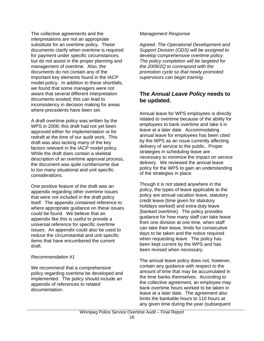The collective agreements and the interpretations are not an appropriate substitute for an overtime policy. These documents clarify when overtime is required for payment under specific circumstances, but do not assist in the proper planning and management of overtime. Also, the documents do not contain any of the important key elements found in the IACP model policy. In addition to these shortfalls, we found that some managers were not aware that several different interpretation documents existed; this can lead to inconsistency in decision making for areas where precedents have been set.

A draft overtime policy was written by the WPS in 2006; this draft had not yet been approved either for implementation or for redraft at the time of our audit work. This draft was also lacking many of the key factors relevant in the IACP model policy. While the draft does contain a skeletal description of an overtime approval process, the document was quite cumbersome due to too many situational and unit specific considerations.

One positive feature of the draft was an appendix regarding other overtime issues that were not included in the draft policy itself. The appendix contained reference to where appropriate guidance on these issues could be found. We believe that an appendix like this is useful to provide a universal reference for specific overtime issues. An appendix could also be used to reduce the circumstantial and unit specific items that have encumbered the current draft.

### *Recommendation #1*

We recommend that a comprehensive policy regarding overtime be developed and implemented. The policy should include an appendix of references to related documentation.

#### *Management Response*

*Agreed. The Operational Development and Support Division (ODS) will be assigned to develop comprehensive overtime policy. The policy completion will be targeted for the 2009/2Q to correspond with the promotion cycle so that newly promoted supervisors can begin training.* 

## **The** *Annual Leave Policy* **needs to be updated.**

Annual leave for WPS employees is directly related to overtime because of the ability for employees to bank overtime and take it in leave at a later date. Accommodating annual leave for employees has been cited by the WPS as an issue currently affecting delivery of service to the public. Proper strategies in scheduling leave are necessary to minimize the impact on service delivery. We reviewed the annual leave policy for the WPS to gain an understanding of the strategies in place.

Though it is not stated anywhere in the policy, the types of leave applicable to the policy are annual vacation leave, statutory credit leave (time given for statutory holidays worked) and extra-duty leave (banked overtime). The policy provides guidance for how many staff can take leave from one division at one time, when staff can take their leave, limits for consecutive days to be taken and the notice required when requesting leave. The policy has been kept current by the WPS and has been revised when necessary.

The annual leave policy does not, however, contain any guidance with respect to the amount of time that may be accumulated in the time banks themselves. According to the collective agreement, an employee may bank overtime hours worked to be taken in leave at a later date. The agreement also limits the bankable hours to 110 hours at any given time during the year (subsequent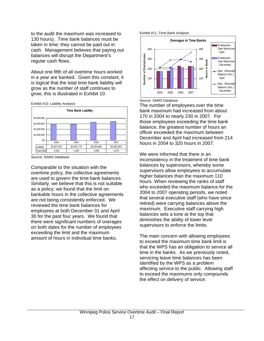to the audit the maximum was increased to 130 hours). Time bank balances must be taken in time; they cannot be paid out in cash. Management believes that paying out balances will disrupt the Department's regular cash flows.

About one fifth of all overtime hours worked in a year are banked. Given this constant, it is logical that the total time bank liability will grow as the number of staff continues to grow; this is illustrated in Exhibit 10.





Source: SAMS Database

Comparable to the situation with the overtime policy, the collective agreements are used to govern the time bank balances. Similarly, we believe that this is not suitable as a policy; we found that the limit on bankable hours in the collective agreements are not being consistently enforced. We reviewed the time bank balances for employees at both December 31 and April 30 for the past four years. We found that there were significant numbers of overages on both dates for the number of employees exceeding the limit and the maximum amount of hours in individual time banks.





#### Source: SAMS Database

The number of employees over the time bank maximum had increased from about 170 in 2004 to nearly 230 in 2007. For those employees exceeding the time bank balance, the greatest number of hours an officer exceeded the maximum between December and April had increased from 214 hours in 2004 to 320 hours in 2007.

We were informed that there is an inconsistency in the treatment of time bank balances by supervisors, whereby some supervisors allow employees to accumulate higher balances than the maximum 110 hours. When reviewing the ranks of staff who exceeded the maximum balance for the 2004 to 2007 operating periods, we noted that several executive staff (who have since retired) were carrying balances above the maximum. Executive staff carrying high balances sets a tone at the top that diminishes the ability of lower level supervisors to enforce the limits.

The main concern with allowing employees to exceed the maximum time bank limit is that the WPS has an obligation to service all time in the banks. As we previously noted, servicing leave time balances has been identified by the WPS as a problem affecting service to the public. Allowing staff to exceed the maximums only compounds the effect on delivery of service.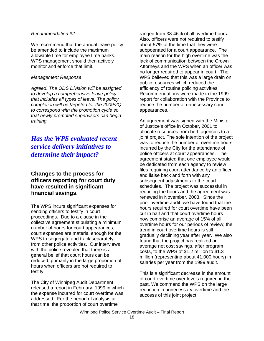### *Recommendation #2*

We recommend that the annual leave policy be amended to include the maximum allowable time for employee time banks. WPS management should then actively monitor and enforce that limit.

## *Management Response*

*Agreed. The ODS Division will be assigned to develop a comprehensive leave policy that includes all types of leave. The policy completion will be targeted for the 2009/2Q to correspond with the promotion cycle so that newly promoted supervisors can begin training.* 

## *Has the WPS evaluated recent service delivery initiatives to determine their impact?*

## **Changes to the process for officers reporting for court duty have resulted in significant financial savings.**

The WPS incurs significant expenses for sending officers to testify in court proceedings. Due to a clause in the collective agreement stipulating a minimum number of hours for court appearances, court expenses are material enough for the WPS to segregate and track separately from other police activities. Our interviews with the police revealed that there is a general belief that court hours can be reduced, primarily in the large proportion of hours when officers are not required to testify.

The City of Winnipeg Audit Department released a report in February, 1999 in which the expense incurred for court overtime was addressed. For the period of analysis at that time, the proportion of court overtime

ranged from 38-46% of all overtime hours. Also, officers were not required to testify about 57% of the time that they were subpoenaed for a court appearance. The main reason for the high overtime was the lack of communication between the Crown Attorneys and the WPS when an officer was no longer required to appear in court. The WPS believed that this was a large drain on public resources which reduced the efficiency of routine policing activities. Recommendations were made in the 1999 report for collaboration with the Province to reduce the number of unnecessary court appearances.

An agreement was signed with the Minister of Justice's office in October, 2001 to allocate resources from both agencies to a joint project. The sole intention of the project was to reduce the number of overtime hours incurred by the City for the attendance of police officers at court appearances. The agreement stated that one employee would be dedicated from each agency to review files requiring court attendance by an officer and liaise back and forth with any subsequent adjustments to the court schedules. The project was successful in reducing the hours and the agreement was renewed in November, 2003. Since the prior overtime audit, we have found that the hours required for court overtime have been cut in half and that court overtime hours now comprise an average of 15% of all overtime hours for our periods of review; the trend in court overtime hours is still gradually declining year after year. We also found that the project has realized an average net cost savings, after program costs, to the WPS of \$1.2 million to \$1.3 million (representing about 41,000 hours) in salaries per year from the 1999 audit.

This is a significant decrease in the amount of court overtime over levels required in the past. We commend the WPS on the large reduction in unnecessary overtime and the success of this joint project.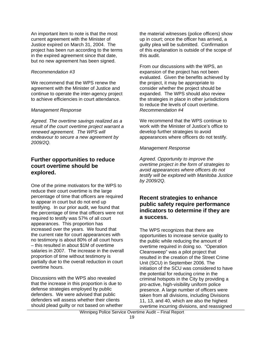An important item to note is that the most current agreement with the Minister of Justice expired on March 31, 2004. The project has been run according to the terms in the expired agreement since that date, but no new agreement has been signed.

## *Recommendation #3*

We recommend that the WPS renew the agreement with the Minister of Justice and continue to operate the inter-agency project to achieve efficiencies in court attendance.

### *Management Response*

*Agreed. The overtime savings realized as a result of the court overtime project warrant a renewed agreement. The WPS will endeavour to secure a new agreement by 2009/2Q.* 

## **Further opportunities to reduce court overtime should be explored.**

One of the prime motivators for the WPS to reduce their court overtime is the large percentage of time that officers are required to appear in court but do not end up testifying. In our prior audit, we found that the percentage of time that officers were not required to testify was 57% of all court appearances. This proportion has increased over the years. We found that the current rate for court appearances with no testimony is about 80% of all court hours – this resulted in about \$1M of overtime salaries in 2007. The increase in the overall proportion of time without testimony is partially due to the overall reduction in court overtime hours.

Discussions with the WPS also revealed that the increase in this proportion is due to defense strategies employed by public defenders. We were advised that public defenders will assess whether their clients should plead guilty or not based on whether

the material witnesses (police officers) show up in court; once the officer has arrived, a guilty plea will be submitted. Confirmation of this explanation is outside of the scope of this audit.

From our discussions with the WPS, an expansion of the project has not been evaluated. Given the benefits achieved by the project, it may be appropriate to consider whether the project should be expanded. The WPS should also review the strategies in place in other jurisdictions to reduce the levels of court overtime. *Recommendation #4* 

We recommend that the WPS continue to work with the Minister of Justice's office to develop further strategies to avoid appearances where officers do not testify.

## *Management Response*

*Agreed. Opportunity to improve the overtime project in the form of strategies to avoid appearances where officers do not testify will be explored with Manitoba Justice by 2009/2Q.* 

## **Recent strategies to enhance public safety require performance indicators to determine if they are a success.**

The WPS recognizes that there are opportunities to increase service quality to the public while reducing the amount of overtime required in doing so. "Operation Cleansweep" was a pilot project that resulted in the creation of the Street Crime Unit (SCU) in September 2006. The initiation of the SCU was considered to have the potential for reducing crime in the criminal hotspots in the City by providing a pro-active, high-visibility uniform police presence. A large number of officers were taken from all divisions, including Divisions 11, 13, and 40, which are also the highest overtime incurring divisions, and reassigned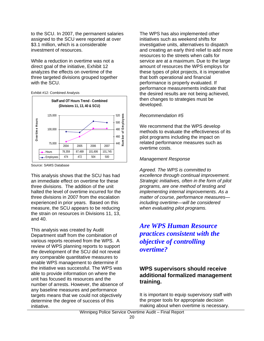to the SCU. In 2007, the permanent salaries assigned to the SCU were reported at over \$3.1 million, which is a considerable investment of resources.

While a reduction in overtime was not a direct goal of the initiative, Exhibit 12 analyzes the effects on overtime of the three targeted divisions grouped together with the SCU.

#### Exhibit #12: Combined Analysis



Source: SAMS Database

This analysis shows that the SCU has had an immediate effect on overtime for these three divisions. The addition of the unit halted the level of overtime incurred for the three divisions in 2007 from the escalation experienced in prior years. Based on this measure, the SCU appears to be reducing the strain on resources in Divisions 11, 13, and 40.

This analysis was created by Audit Department staff from the combination of various reports received from the WPS. A review of WPS planning reports to support the development of the SCU did not reveal any comparable quantitative measures to enable WPS management to determine if the initiative was successful. The WPS was able to provide information on where the unit has focused its resources and the number of arrests. However, the absence of any baseline measures and performance targets means that we could not objectively determine the degree of success of this initiative.

The WPS has also implemented other initiatives such as weekend shifts for investigative units, alternatives to dispatch and creating an early third relief to add more resources to the streets when calls for service are at a maximum. Due to the large amount of resources the WPS employs for these types of pilot projects, it is imperative that both operational and financial performance is properly evaluated. If performance measurements indicate that the desired results are not being achieved, then changes to strategies must be developed.

### *Recommendation #5*

We recommend that the WPS develop methods to evaluate the effectiveness of its pilot programs including the impact on related performance measures such as overtime costs.

### *Management Response*

*Agreed. The WPS is committed to excellence through continual improvement. Strategic initiatives, often in the form of pilot programs, are one method of testing and implementing internal improvements. As a matter of course, performance measures including overtime—will be considered when evaluating pilot programs.* 

## *Are WPS Human Resource practices consistent with the objective of controlling overtime?*

## **WPS supervisors should receive additional formalized management training.**

It is important to equip supervisory staff with the proper tools for appropriate decision making about when overtime is necessary.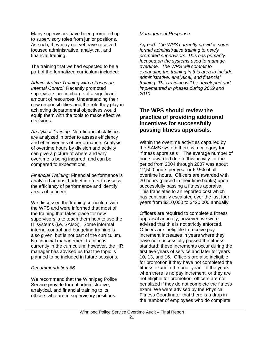Many supervisors have been promoted up to supervisory roles from junior positions. As such, they may not yet have received focused administrative, analytical, and financial training.

The training that we had expected to be a part of the formalized curriculum included:

*Administrative Training with a Focus on Internal Control*: Recently promoted supervisors are in charge of a significant amount of resources. Understanding their new responsibilities and the role they play in achieving departmental objectives would equip them with the tools to make effective decisions.

*Analytical Training*: Non-financial statistics are analyzed in order to assess efficiency and effectiveness of performance. Analysis of overtime hours by division and activity can give a picture of where and why overtime is being incurred, and can be compared to expectations.

*Financial Training*: Financial performance is analyzed against budget in order to assess the efficiency of performance and identify areas of concern.

We discussed the training curriculum with the WPS and were informed that most of the training that takes place for new supervisors is to teach them how to use the IT systems (i.e. SAMS). Some informal internal control and budgeting training is also given, but is not part of the curriculum. No financial management training is currently in the curriculum; however, the HR manager has advised us that the topic is planned to be included in future sessions.

### *Recommendation #6*

We recommend that the Winnipeg Police Service provide formal administrative, analytical, and financial training to its officers who are in supervisory positions.

#### *Management Response*

*Agreed. The WPS currently provides some formal administrative training to newly promoted supervisors. This has primarily focused on the systems used to manage overtime. The WPS will commit to expanding the training in this area to include administrative, analytical, and financial training. This training will be developed and implemented in phases during 2009 and 2010.* 

## **The WPS should review the practice of providing additional incentives for successfully passing fitness appraisals.**

Within the overtime activities captured by the SAMS system there is a category for "fitness appraisals". The average number of hours awarded due to this activity for the period from 2004 through 2007 was about 12,500 hours per year or 6 ½% of all overtime hours. Officers are awarded with 20 hours (placed in their time banks) upon successfully passing a fitness appraisal. This translates to an reported cost which has continually escalated over the last four years from \$310,000 to \$420,000 annually.

Officers are required to complete a fitness appraisal annually; however, we were advised that this is not strictly enforced. Officers are ineligible to receive pay increment increases in years where they have not successfully passed the fitness standard; these increments occur during the first five years of service and later for years 10, 13, and 16. Officers are also ineligible for promotion if they have not completed the fitness exam in the prior year. In the years when there is no pay increment, or they are not eligible for promotion, officers are not penalized if they do not complete the fitness exam. We were advised by the Physical Fitness Coordinator that there is a drop in the number of employees who do complete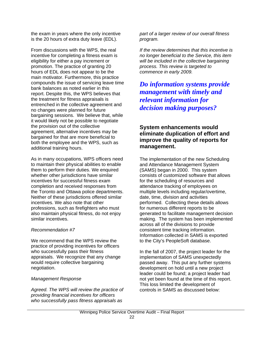the exam in years where the only incentive is the 20 hours of extra duty leave (EDL).

From discussions with the WPS, the real incentive for completing a fitness exam is eligibility for either a pay increment or promotion. The practice of granting 20 hours of EDL does not appear to be the main motivator. Furthermore, this practice compounds the issue of servicing leave time bank balances as noted earlier in this report. Despite this, the WPS believes that the treatment for fitness appraisals is entrenched in the collective agreement and no changes were planned for future bargaining sessions. We believe that, while it would likely not be possible to negotiate the provision out of the collective agreement, alternative incentives may be bargained for that are more beneficial to both the employee and the WPS, such as additional training hours.

As in many occupations, WPS officers need to maintain their physical abilities to enable them to perform their duties. We enquired whether other jurisdictions have similar incentives for successful fitness exam completion and received responses from the Toronto and Ottawa police departments. Neither of these jurisdictions offered similar incentives. We also note that other professions, such as firefighters who must also maintain physical fitness, do not enjoy similar incentives.

### *Recommendation #7*

We recommend that the WPS review the practice of providing incentives for officers who successfully pass their fitness appraisals. We recognize that any change would require collective bargaining negotiation.

## *Management Response*

*Agreed. The WPS will review the practice of providing financial incentives for officers who successfully pass fitness appraisals as* 

*part of a larger review of our overall fitness program.* 

*If the review determines that this incentive is no longer beneficial to the Service, this item will be included in the collective bargaining process. This review is targeted to commence in early 2009.* 

*Do information systems provide management with timely and relevant information for decision making purposes?* 

## **System enhancements would eliminate duplication of effort and improve the quality of reports for management.**

The implementation of the new Scheduling and Attendance Management System (SAMS) began in 2000. This system consists of customized software that allows for the scheduling of resources and attendance tracking of employees on multiple levels including regular/overtime, date, time, division and activities performed. Collecting these details allows for numerous different reports to be generated to facilitate management decision making. The system has been implemented across all of the divisions to provide consistent time tracking information. Information collected in SAMS is exported to the City's PeopleSoft database.

In the fall of 2007, the project leader for the implementation of SAMS unexpectedly passed away. This put any further systems development on hold until a new project leader could be found; a project leader had not yet been found at the time of this report. This loss limited the development of controls in SAMS as discussed below: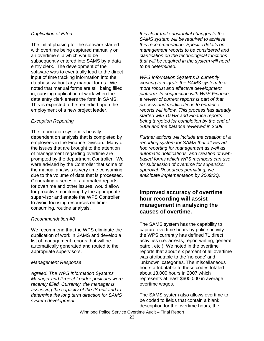## *Duplication of Effort*

The initial phasing for the software started with overtime being captured manually on an overtime slip which would be subsequently entered into SAMS by a data entry clerk. The development of the software was to eventually lead to the direct input of time tracking information into the database without any manual forms. We noted that manual forms are still being filled in, causing duplication of work when the data entry clerk enters the form in SAMS. This is expected to be remedied upon the employment of a new project leader.

## *Exception Reporting*

The information system is heavily dependent on analysis that is completed by employees in the Finance Division. Many of the issues that are brought to the attention of management regarding overtime are prompted by the department Controller. We were advised by the Controller that some of the manual analysis is very time consuming due to the volume of data that is processed. Generating a series of automated reports, for overtime and other issues, would allow for proactive monitoring by the appropriate supervisor and enable the WPS Controller to avoid focusing resources on timeconsuming, routine analysis.

### *Recommendation #8*

We recommend that the WPS eliminate the duplication of work in SAMS and develop a list of management reports that will be automatically generated and routed to the appropriate supervisors.

### *Management Response*

*Agreed. The WPS Information Systems Manager and Project Leader positions were recently filled. Currently, the manager is assessing the capacity of the IS unit and to determine the long term direction for SAMS system development.* 

*It is clear that substantial changes to the SAMS system will be required to achieve this recommendation. Specific details on management reports to be considered and clarification on the technological functions that will be required in the system will need to be determined.* 

*WPS Information Systems is currently working to migrate the SAMS system to a more robust and effective development platform. In conjunction with WPS Finance, a review of current reports is part of that process and modifications to enhance reports will follow. This process has already started with 10 HR and Finance reports being targeted for completion by the end of 2008 and the balance reviewed in 2009.* 

*Further actions will include the creation of a reporting system for SAMS that allows ad hoc reporting for management as well as automatic notifications, and creation of webbased forms which WPS members can use for submission of overtime for supervisor approval. Resources permitting, we anticipate implementation by 2009/3Q.* 

## **Improved accuracy of overtime hour recording will assist management in analyzing the causes of overtime.**

The SAMS system has the capability to capture overtime hours by police activity: the WPS currently has defined 71 direct activities (i.e. arrests, report writing, general patrol, etc.). We noted in the overtime reports that about six percent of all overtime was attributable to the 'no code' and 'unknown' categories. The miscellaneous hours attributable to these codes totaled about 13,000 hours in 2007 which represents at least \$600,000 in average overtime wages.

The SAMS system also allows overtime to be coded to fields that contain a blank description for the overtime hours; the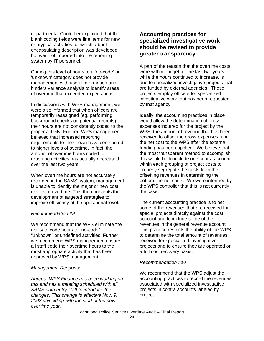departmental Controller explained that the blank coding fields were line items for new or atypical activities for which a brief encapsulating description was developed but was not imported into the reporting system by IT personnel.

Coding this level of hours to a 'no-code' or 'unknown' category does not provide management with useful information and hinders variance analysis to identify areas of overtime that exceeded expectations.

In discussions with WPS management, we were also informed that when officers are temporarily reassigned (eg. performing background checks on potential recruits) their hours are not consistently coded to the proper activity. Further, WPS management believed that increased reporting requirements to the Crown have contributed to higher levels of overtime. In fact, the amount of overtime hours coded to reporting activities has actually decreased over the last two years.

When overtime hours are not accurately recorded in the SAMS system, management is unable to identify the major or new cost drivers of overtime. This then prevents the development of targeted strategies to improve efficiency at the operational level.

### *Recommendation #9*

We recommend that the WPS eliminate the ability to code hours to "no-code", "unknown" or undefined activities. Further, we recommend WPS management ensure all staff code their overtime hours to the most appropriate activity that has been approved by WPS management.

### *Management Response*

*Agreed. WPS Finance has been working on this and has a meeting scheduled with all SAMS data entry staff to introduce the changes. This change is effective Nov. 9, 2008 coinciding with the start of the new overtime year.* 

## **Accounting practices for specialized investigative work should be revised to provide greater transparency.**

A part of the reason that the overtime costs were within budget for the last two years, while the hours continued to increase, is due to specialized investigative projects that are funded by external agencies. These projects employ officers for specialized investigative work that has been requested by that agency.

Ideally, the accounting practices in place would allow the determination of gross expenses incurred for the project by the WPS, the amount of revenue that has been received to offset the gross expenses, and the net cost to the WPS after the external funding has been applied. We believe that the most transparent method to accomplish this would be to include one contra account within each grouping of project costs to properly segregate the costs from the offsetting revenues in determining the bottom line net costs. We were informed by the WPS controller that this is not currently the case.

The current accounting practice is to net some of the revenues that are received for special projects directly against the cost account and to include some of the revenues in the general revenue account. This practice restricts the ability of the WPS to determine the total amount of revenues received for specialized investigative projects and to ensure they are operated on a full cost recovery basis.

### *Recommendation #10*

We recommend that the WPS adjust the accounting practices to record the revenues associated with specialized investigative projects in contra accounts labeled by project.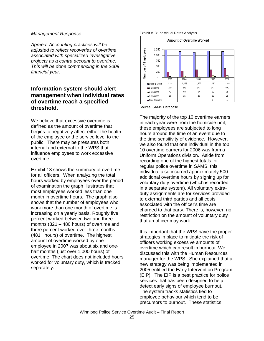#### *Management Response*

*Agreed. Accounting practices will be adjusted to reflect recoveries of overtime associated with specialized investigative projects as a contra account to overtime. This will be done commencing in the 2009 financial year.*

## **Information system should alert management when individual rates of overtime reach a specified threshold.**

We believe that excessive overtime is defined as the amount of overtime that begins to negatively affect either the health of the employee or the service level to the public. There may be pressures both internal and external to the WPS that influence employees to work excessive overtime.

Exhibit 13 shows the summary of overtime for all officers. When analyzing the total hours worked by employees over the period of examination the graph illustrates that most employees worked less than one month in overtime hours. The graph also shows that the number of employees who work more than one month of overtime is increasing on a yearly basis. Roughly five percent worked between two and three months (321 – 480 hours) of overtime and three percent worked over three months (481+ hours) of overtime. The highest amount of overtime worked by one employee in 2007 was about six and onehalf months (just over 1,000 hours) of overtime. The chart does not included hours worked for voluntary duty, which is tracked separately.





Source: SAMS Database

The majority of the top 10 overtime earners in each year were from the homicide unit; these employees are subjected to long hours around the time of an event due to the time sensitivity of evidence. However, we also found that one individual in the top 10 overtime earners for 2006 was from a Uniform Operations division. Aside from recording one of the highest totals for regular police overtime in SAMS, this individual also incurred approximately 500 additional overtime hours by signing up for voluntary duty overtime (which is recorded in a separate system). All voluntary extraduty assignments are for services provided to external third parties and all costs associated with the officer's time are charged to that party. There is, however, no restriction on the amount of voluntary duty that an officer may work.

It is important that the WPS have the proper strategies in place to mitigate the risk of officers working excessive amounts of overtime which can result in burnout. We discussed this with the Human Resources manager for the WPS. She explained that a new strategy was being implemented in 2005 entitled the Early Intervention Program (EIP). The EIP is a best practice for police services that has been designed to help detect early signs of employee burnout. The system tracks statistics tied to employee behaviour which tend to be precursors to burnout. These statistics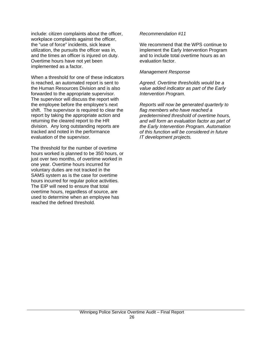include: citizen complaints about the officer, workplace complaints against the officer, the "use of force" incidents, sick leave utilization, the pursuits the officer was in, and the times an officer is injured on duty. Overtime hours have not yet been implemented as a factor.

When a threshold for one of these indicators is reached, an automated report is sent to the Human Resources Division and is also forwarded to the appropriate supervisor. The supervisor will discuss the report with the employee before the employee's next shift. The supervisor is required to clear the report by taking the appropriate action and returning the cleared report to the HR division. Any long outstanding reports are tracked and noted in the performance evaluation of the supervisor.

The threshold for the number of overtime hours worked is planned to be 350 hours, or just over two months, of overtime worked in one year. Overtime hours incurred for voluntary duties are not tracked in the SAMS system as is the case for overtime hours incurred for regular police activities. The EIP will need to ensure that total overtime hours, regardless of source, are used to determine when an employee has reached the defined threshold.

#### *Recommendation #11*

We recommend that the WPS continue to implement the Early Intervention Program and to include total overtime hours as an evaluation factor.

#### *Management Response*

*Agreed. Overtime thresholds would be a value added indicator as part of the Early Intervention Program.* 

*Reports will now be generated quarterly to flag members who have reached a predetermined threshold of overtime hours, and will form an evaluation factor as part of the Early Intervention Program. Automation of this function will be considered in future IT development projects.*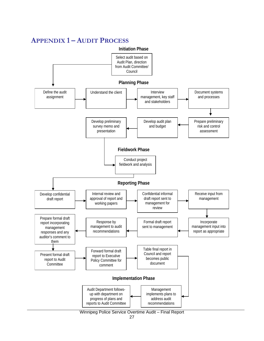## **APPENDIX 1 – AUDIT PROCESS**

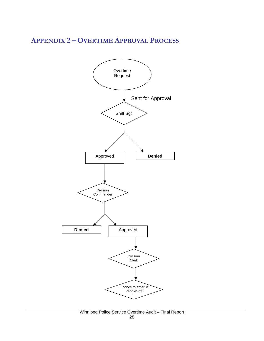## **APPENDIX 2 – OVERTIME APPROVAL PROCESS**

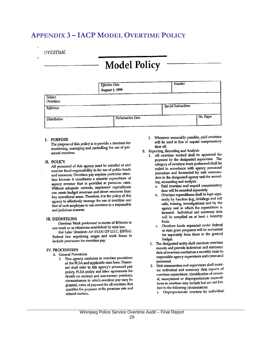## **APPENDIX 3 – IACP MODEL OVERTIME POLICY**

**OVERTIME** 

# **Model Policy**

|                     | <b>Effective Date</b><br><b>August 1, 1999</b> | Number                      |           |
|---------------------|------------------------------------------------|-----------------------------|-----------|
| Subject<br>Overtime |                                                |                             |           |
| Reference           |                                                | <b>Special Instructions</b> |           |
| <b>Distribution</b> | <b>Reevaluation Date</b>                       |                             | No. Pages |

#### I. PURPOSE

The purpose of this policy is to provide a structure for monitoring, managing and controlling the use of personnel overtime.

#### II. POLICY

All personnel of this agency must be mindful of and exercise fiscal responsibility in the use of public funds and resources. Overtime pay requires particular attention because it constitutes a sizeable expenditure of agency revenue that is provided at premium rates. Without adequate controls, unplanned expenditures can create budget overruns and divert resources from key operational areas. Therefore, it is the policy of this agency to effectively manage the use of overtime and that of each employee to use overtime in a responsible and judicious manner.

#### **III. DEFINITIONS**

Overtime: Work performed in excess of 40 hours in one week or as otherwise established by state law.

Fair Labor Standards Act (FLSA) (29 U.S.C. §207(a)): Federal law regulating wages and work hours to include provisions for overtime pay.

#### IV. PROCEDURES

- A. General Provisions
	- 1. This agency conforms to overtime provisions of the FLSA and applicable state laws. Personnel shall refer to this agency's personnel pay policy, FLSA policy and labor agreements for details on exempt and non-exempt positions, circumstances in which overtime pay may be granted, rates of payment for all overtime that qualifies for payment at the premium rate and related matters.
- 2. Whenever reasonably possible, paid overtime will be used in lieu of unpaid compensatory time off.
- B. Reporting, Recording and Analysis
	- 1. All overtime worked shall be approved for payment by the designated supervisor. The category of overtime work performed shall be coded in accordance with agency personnel procedure and forwarded by unit commanders to the designated agency unit for recording, accounting and analysis.
		- a. Paid overtime and unpaid compensatory time will be recorded separately.
		- Overtime expenditures shall be kept sepab. rately by function (e.g., briefings and roll calls, training, investigations) and by the agency unit in which the expenditure is incurred. Individual and summary data will be compiled on at least a monthly basis.
		- Overtime funds expended under federal or state grant programs will be accounted for separately from those in the general budget.
	- 2. The designated entity shall maintain overtime records and provide individual and summary data of overtime worked on a monthly basis to responsible agency supervisors and command personnel.
	- Unit commanders and supervisors shall monitor individual and summary data reports of overtime expenditure. Identification of unusual, unexplained or disproportionate expenditures in overtime may include but are not limited to the following circumstances:
		- Disproportionate overtime by individual a.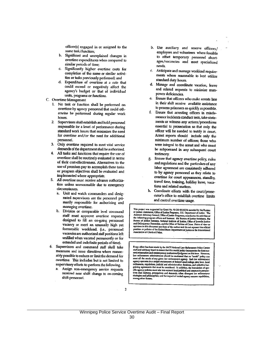officer(s) engaged in or assigned to the same task/function:

- b. Significant and unexplained changes in overtime expenditures when compared to similar periods of time;
- Significantly higher overtime costs for c. completion of the same or similar activities or tasks previously performed; and
- d. Expenditure of overtime at a rate that could exceed or negatively affect the agency's budget or that of individual units, programs or functions.
- C. Overtime Management
	- 1. No task or function shall be performed on overtime by agency personnel that could otherwise be performed during regular work hours.
	- Supervisors shall establish and hold personnel  $2.$ responsible for a level of performance during standard work hours that minimizes the need for overtime and/or the need for additional personnel.
	- 3. Only overtime required to meet vital service demands of the department shall be authorized.
	- 4. All tasks and functions that require the use of overtime shall be routinely evaluated in terms of their cost-effectiveness. Alternatives to the use of premium pay to accomplish these tasks or program objectives shall be evaluated and implemented where appropriate.
	- 5. All overtime must receive advance authorization unless unreasonable due to emergency circumstances.
		- a. Unit and watch commanders and designated supervisors are the personnel primarily responsible for authorizing and managing overtime.
		- b. Division or comparable level command staff must approve overtime requests designed to fill an on-going personnel vacancy or meet an unusually high yet foreseeable workload. (i.e., personnel vacancies are authorized staff positions left unfilled when vacated permanently or for extended and indefinite periods of time).
	- 6. Supervisors and command staff shall take measures and issue directives where reasonably possible to reduce or limit the demand for overtime. This includes but is not limited to supervisory efforts to perform the following.
		- Assign non-emergency service requests a. received near shift change to on-coming shift personnel.
- b. Use auxiliary and reserve officers/ employees and volunteers where feasible to offset temporary personnel shortages/vacancies and meet specialized needs
- c. Anticipate and manage workload requirements where reasonable to best utilize standard duty hours.
- d. Manage and coordinate vacation, leave and related requests to minimize manpower deficiencies.
- e. Ensure that officers who make arrests late in their shift receive available assistance to process prisoners as quickly as possible.
- f. Ensure that arresting officers in misdemeanor incidents conduct tests, take statements or witness any actions/procedures essential to prosecution so that only the officer will be needed to testify in court. Arrest reports should include only the minimum number of officers; those who were integral to the arrest and who must be subpoenaed in any subsequent court testimony.
- Ensure that agency overtime policy, rules g. and regulations and the particulars of any labor agreement are consistently adhered to by agency personnel as they relate to overtime for court appearances, standby, travel time, training, holiday leave, vacations and related matters.
- h. Coordinate efforts with the court/prosecutor's office to establish overtime limits and control overtime usage.

This project was supported by Grant No. 95-DD-BX-K014 awarded by the Bures of Justice Assistance, Office of Justice Programs, U.S. Department of Justice. The<br>Assistant Attorney General, Office of Justice Programs, COS Department of Justice. The<br>Assistant Attorney Deperant offices and bureaus: the the following program offices and bureaus: the Bureau of Justice Assistance, the Bureau of Justice Satisfies, National Institute of Justice Coffice of University and Delinquency Prevention, and the Office of Victims of Cri position or policies of the United States Department of Justice or the International Association of Chiefs of Police.

Every effort has been made by the IACP National Law Enforcement Policy Center staff and advisory board to ensure that this model policy incorporates the most center<br>staff and advisory board to ensure that this model policy incorporates the most cur-<br>rent information and contemporary professional jud For a source and consequency protessional judgment on this issue. However, law enforcement administrators should be cautioned that no "model" policy can agency operates in a unique environment of federal court nuings, stat a agreements that must be considered. In addition, the formulation of spe-<br>ency policies must take into account local political and community perspec-<br>nd customs, prerogatives and demands; often divergent law enforcement<br>e tives and cu strategies and philosophies; and the impact of varied agency resource capabilities, mong other factors.

 $\overline{2}$